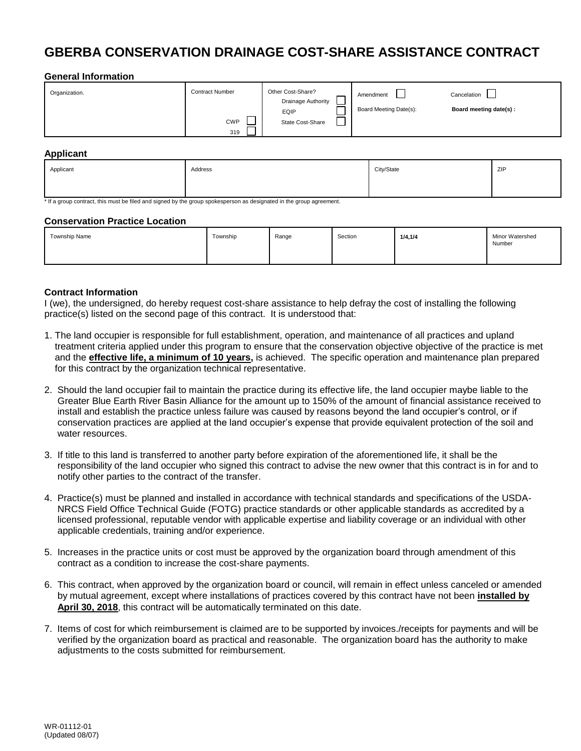# **GBERBA CONSERVATION DRAINAGE COST-SHARE ASSISTANCE CONTRACT**

### **General Information**

| Organization. | <b>Contract Number</b> | Other Cost-Share?<br>Drainage Authority | Amendment              | Cancelation            |
|---------------|------------------------|-----------------------------------------|------------------------|------------------------|
|               | <b>CWP</b><br>319      | <b>EQIP</b><br>State Cost-Share         | Board Meeting Date(s): | Board meeting date(s): |

#### **Applicant**

| Applicant | Address | City/State | ZIP |
|-----------|---------|------------|-----|
|           |         |            |     |

\* If a group contract, this must be filed and signed by the group spokesperson as designated in the group agreement.

#### **Conservation Practice Location**

| Township Name | Township | Range | Section | 1/4, 1/4 | Minor Watershed<br>Number |
|---------------|----------|-------|---------|----------|---------------------------|
|               |          |       |         |          |                           |

### **Contract Information**

I (we), the undersigned, do hereby request cost-share assistance to help defray the cost of installing the following practice(s) listed on the second page of this contract. It is understood that:

- 1. The land occupier is responsible for full establishment, operation, and maintenance of all practices and upland treatment criteria applied under this program to ensure that the conservation objective objective of the practice is met and the **effective life, a minimum of 10 years,** is achieved. The specific operation and maintenance plan prepared for this contract by the organization technical representative.
- 2. Should the land occupier fail to maintain the practice during its effective life, the land occupier maybe liable to the Greater Blue Earth River Basin Alliance for the amount up to 150% of the amount of financial assistance received to install and establish the practice unless failure was caused by reasons beyond the land occupier's control, or if conservation practices are applied at the land occupier's expense that provide equivalent protection of the soil and water resources.
- 3. If title to this land is transferred to another party before expiration of the aforementioned life, it shall be the responsibility of the land occupier who signed this contract to advise the new owner that this contract is in for and to notify other parties to the contract of the transfer.
- 4. Practice(s) must be planned and installed in accordance with technical standards and specifications of the USDA- NRCS Field Office Technical Guide (FOTG) practice standards or other applicable standards as accredited by a licensed professional, reputable vendor with applicable expertise and liability coverage or an individual with other applicable credentials, training and/or experience.
- 5. Increases in the practice units or cost must be approved by the organization board through amendment of this contract as a condition to increase the cost-share payments.
- 6. This contract, when approved by the organization board or council, will remain in effect unless canceled or amended by mutual agreement, except where installations of practices covered by this contract have not been **installed by April 30, 2018**, this contract will be automatically terminated on this date.
- 7. Items of cost for which reimbursement is claimed are to be supported by invoices./receipts for payments and will be verified by the organization board as practical and reasonable. The organization board has the authority to make adjustments to the costs submitted for reimbursement.